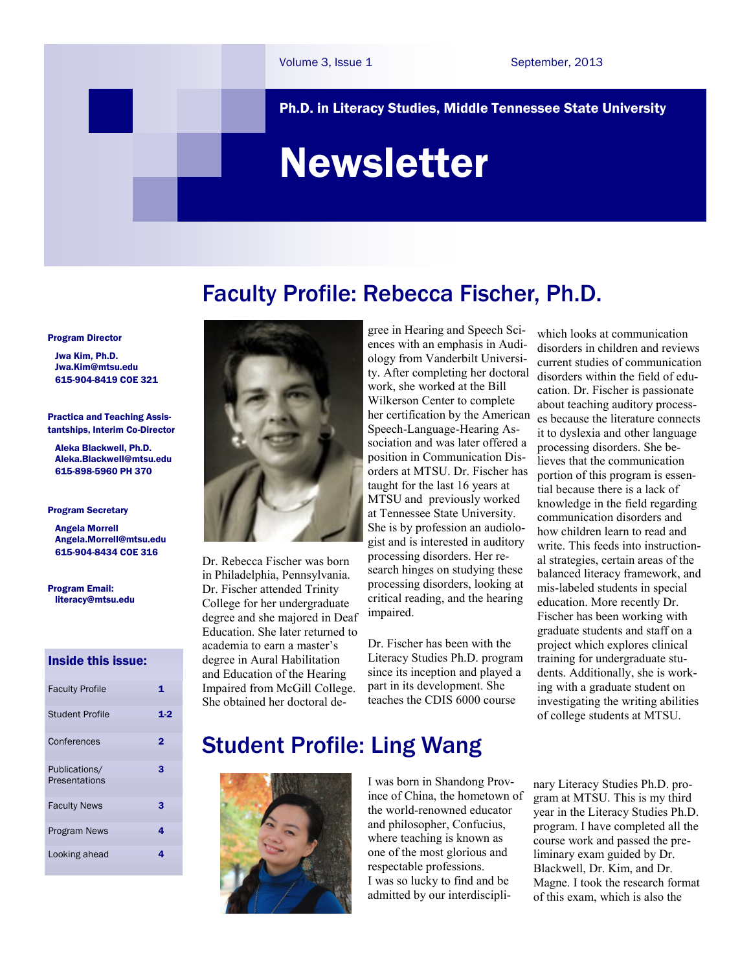Ph.D. in Literacy Studies, Middle Tennessee State University

# Newsletter

### Faculty Profile: Rebecca Fischer, Ph.D.

Program Director

 Jwa Kim, Ph.D. [Jwa.Kim@mtsu.edu](mailto:pykim@mtsu.edu)  615-904-8419 COE 321

Practica and Teaching Assistantships, Interim Co-Director

 Aleka Blackwell, Ph.D. Aleka.Blackwell@mtsu.edu 615-898-5960 PH 370

#### Program Secretary

 Angela Morrell Angela.Morrell[@mtsu.edu](mailto:pykim@mtsu.edu) 615-904-8434 COE 316

Program Email: literacy@mtsu.edu

### Inside this issue:

| <b>Faculty Profile</b>                | 1   |
|---------------------------------------|-----|
| Student Profile                       | 1.2 |
| Conferences                           | 2   |
| Publications/<br><b>Presentations</b> | з   |
| <b>Faculty News</b>                   | 3   |
| <b>Program News</b>                   | 4   |
| Looking ahead                         | 4   |



Dr. Rebecca Fischer was born in Philadelphia, Pennsylvania. Dr. Fischer attended Trinity College for her undergraduate degree and she majored in Deaf Education. She later returned to academia to earn a master's degree in Aural Habilitation and Education of the Hearing Impaired from McGill College. She obtained her doctoral de-

gree in Hearing and Speech Sciences with an emphasis in Audiology from Vanderbilt University. After completing her doctoral work, she worked at the Bill Wilkerson Center to complete her certification by the American Speech-Language-Hearing Association and was later offered a position in Communication Disorders at MTSU. Dr. Fischer has taught for the last 16 years at MTSU and previously worked at Tennessee State University. She is by profession an audiologist and is interested in auditory processing disorders. Her research hinges on studying these processing disorders, looking at critical reading, and the hearing impaired.

Dr. Fischer has been with the Literacy Studies Ph.D. program since its inception and played a part in its development. She teaches the CDIS 6000 course

which looks at communication disorders in children and reviews current studies of communication disorders within the field of education. Dr. Fischer is passionate about teaching auditory processes because the literature connects it to dyslexia and other language processing disorders. She believes that the communication portion of this program is essential because there is a lack of knowledge in the field regarding communication disorders and how children learn to read and write. This feeds into instructional strategies, certain areas of the balanced literacy framework, and mis-labeled students in special education. More recently Dr. Fischer has been working with graduate students and staff on a project which explores clinical training for undergraduate students. Additionally, she is working with a graduate student on investigating the writing abilities of college students at MTSU.

## Student Profile: Ling Wang



I was born in Shandong Province of China, the hometown of the world-renowned educator and philosopher, Confucius, where teaching is known as one of the most glorious and respectable professions. I was so lucky to find and be admitted by our interdisciplinary Literacy Studies Ph.D. program at MTSU. This is my third year in the Literacy Studies Ph.D. program. I have completed all the course work and passed the preliminary exam guided by Dr. Blackwell, Dr. Kim, and Dr. Magne. I took the research format of this exam, which is also the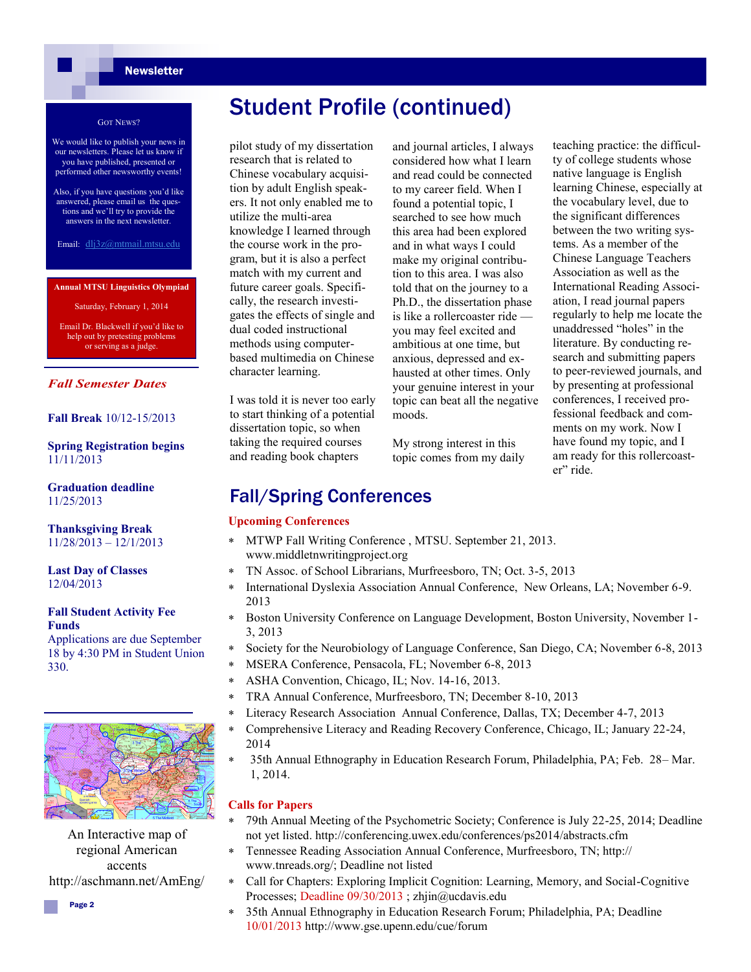### **Newsletter**

#### GOT NEWS?

We would like to publish your news in our newsletters. Please let us know if you have published, presented or performed other newsworthy events!

Also, if you have questions you'd like answered, please email us the questions and we'll try to provide the answers in the next newsletter.

Email: dlj3z@mtmail.mtsu.edu

#### **Annual MTSU Linguistics Olympiad**

Saturday, February 1, 2014

Email Dr. Blackwell if you'd like to help out by pretesting problems or serving as a judge.

### *Fall Semester Dates*

### **Fall Break** 10/12-15/2013

### **Spring Registration begins**  11/11/2013

**Graduation deadline**  11/25/2013

**Thanksgiving Break** 11/28/2013 – 12/1/2013

**Last Day of Classes** 12/04/2013

#### **Fall Student Activity Fee Funds**

Applications are due September 18 by 4:30 PM in Student Union 330.



An Interactive map of regional American accents http://aschmann.net/AmEng/

Student Profile (continued)

pilot study of my dissertation research that is related to Chinese vocabulary acquisition by adult English speakers. It not only enabled me to utilize the multi-area knowledge I learned through the course work in the program, but it is also a perfect match with my current and future career goals. Specifically, the research investigates the effects of single and dual coded instructional methods using computerbased multimedia on Chinese character learning.

I was told it is never too early to start thinking of a potential dissertation topic, so when taking the required courses and reading book chapters

and journal articles, I always considered how what I learn and read could be connected to my career field. When I found a potential topic, I searched to see how much this area had been explored and in what ways I could make my original contribution to this area. I was also told that on the journey to a Ph.D., the dissertation phase is like a rollercoaster ride you may feel excited and ambitious at one time, but anxious, depressed and exhausted at other times. Only your genuine interest in your topic can beat all the negative moods.

My strong interest in this topic comes from my daily teaching practice: the difficulty of college students whose native language is English learning Chinese, especially at the vocabulary level, due to the significant differences between the two writing systems. As a member of the Chinese Language Teachers Association as well as the International Reading Association, I read journal papers regularly to help me locate the unaddressed "holes" in the literature. By conducting research and submitting papers to peer-reviewed journals, and by presenting at professional conferences, I received professional feedback and comments on my work. Now I have found my topic, and I am ready for this rollercoaster" ride.

### Fall/Spring Conferences

### **Upcoming Conferences**

- MTWP Fall Writing Conference , MTSU. September 21, 2013. www.middletnwritingproject.org
- TN Assoc. of School Librarians, Murfreesboro, TN; Oct. 3-5, 2013
- International Dyslexia Association Annual Conference, New Orleans, LA; November 6-9. 2013
- Boston University Conference on Language Development, Boston University, November 1- 3, 2013
- Society for the Neurobiology of Language Conference, San Diego, CA; November 6-8, 2013
- MSERA Conference, Pensacola, FL; November 6-8, 2013
- ASHA Convention, Chicago, IL; Nov. 14-16, 2013.
- TRA Annual Conference, Murfreesboro, TN; December 8-10, 2013
- Literacy Research Association Annual Conference, Dallas, TX; December 4-7, 2013
- Comprehensive Literacy and Reading Recovery Conference, Chicago, IL; January 22-24, 2014
- 35th Annual Ethnography in Education Research Forum, Philadelphia, PA; Feb. 28– Mar. 1, 2014.

#### **Calls for Papers**

- 79th Annual Meeting of the Psychometric Society; Conference is July 22-25, 2014; Deadline not yet listed. http://conferencing.uwex.edu/conferences/ps2014/abstracts.cfm
- Tennessee Reading Association Annual Conference, Murfreesboro, TN; http:// www.tnreads.org/; Deadline not listed
- Call for Chapters: Exploring Implicit Cognition: Learning, Memory, and Social-Cognitive Processes; Deadline 09/30/2013 ; zhjin@ucdavis.edu
- 35th Annual Ethnography in Education Research Forum; Philadelphia, PA; Deadline 10/01/2013 http://www.gse.upenn.edu/cue/forum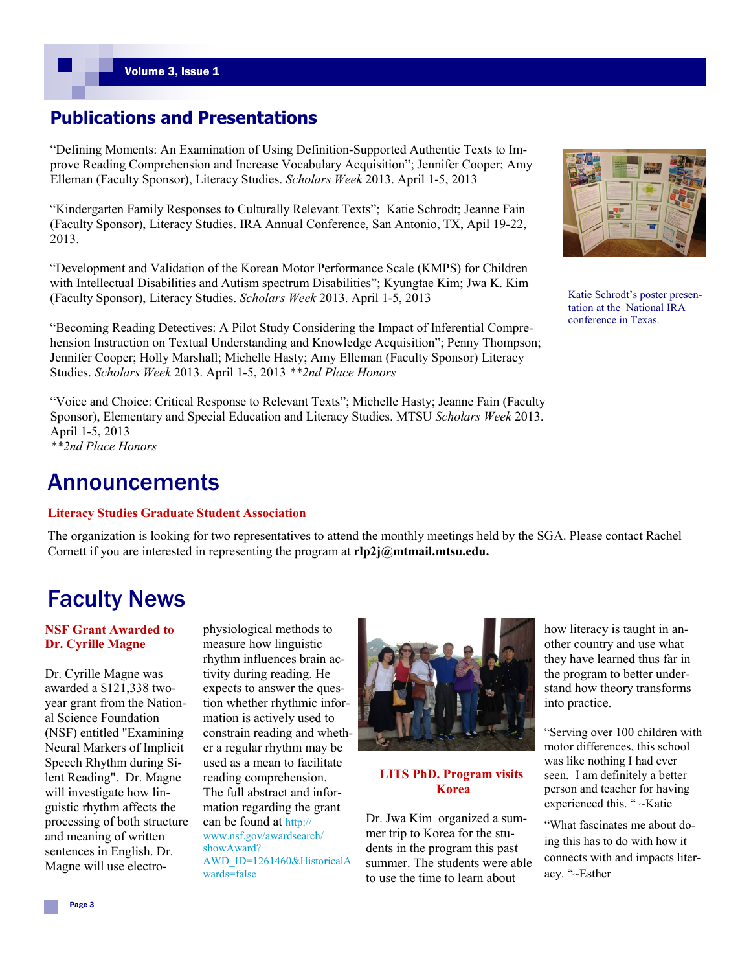### **Publications and Presentations**

"Defining Moments: An Examination of Using Definition-Supported Authentic Texts to Improve Reading Comprehension and Increase Vocabulary Acquisition"; Jennifer Cooper; Amy Elleman (Faculty Sponsor), Literacy Studies. *Scholars Week* 2013. April 1-5, 2013

"Kindergarten Family Responses to Culturally Relevant Texts"; Katie Schrodt; Jeanne Fain (Faculty Sponsor), Literacy Studies. IRA Annual Conference, San Antonio, TX, Apil 19-22, 2013.

"Development and Validation of the Korean Motor Performance Scale (KMPS) for Children with Intellectual Disabilities and Autism spectrum Disabilities"; Kyungtae Kim; Jwa K. Kim (Faculty Sponsor), Literacy Studies. *Scholars Week* 2013. April 1-5, 2013

"Becoming Reading Detectives: A Pilot Study Considering the Impact of Inferential Comprehension Instruction on Textual Understanding and Knowledge Acquisition"; Penny Thompson; Jennifer Cooper; Holly Marshall; Michelle Hasty; Amy Elleman (Faculty Sponsor) Literacy Studies. *Scholars Week* 2013. April 1-5, 2013 *\*\*2nd Place Honors*

"Voice and Choice: Critical Response to Relevant Texts"; Michelle Hasty; Jeanne Fain (Faculty Sponsor), Elementary and Special Education and Literacy Studies. MTSU *Scholars Week* 2013. April 1-5, 2013 *\*\*2nd Place Honors*

### Announcements

### **Literacy Studies Graduate Student Association**

The organization is looking for two representatives to attend the monthly meetings held by the SGA. Please contact Rachel Cornett if you are interested in representing the program at **rlp2j@mtmail.mtsu.edu.**

Katie Schrodt's poster presentation at the National IRA conference in Texas.

Faculty News

### **NSF Grant Awarded to Dr. Cyrille Magne**

Dr. Cyrille Magne was awarded a \$121,338 twoyear grant from the National Science Foundation (NSF) entitled "Examining Neural Markers of Implicit Speech Rhythm during Silent Reading". Dr. Magne will investigate how linguistic rhythm affects the processing of both structure and meaning of written sentences in English. Dr. Magne will use electrophysiological methods to measure how linguistic rhythm influences brain activity during reading. He expects to answer the question whether rhythmic information is actively used to constrain reading and whether a regular rhythm may be used as a mean to facilitate reading comprehension. The full abstract and information regarding the grant can be found at http:// www.nsf.gov/awardsearch/ showAward? AWD\_ID=1261460&HistoricalA wards=false



**LITS PhD. Program visits Korea**

Dr. Jwa Kim organized a summer trip to Korea for the students in the program this past summer. The students were able to use the time to learn about

how literacy is taught in another country and use what they have learned thus far in the program to better understand how theory transforms into practice.

"Serving over 100 children with motor differences, this school was like nothing I had ever seen. I am definitely a better person and teacher for having experienced this. " ~Katie

"What fascinates me about doing this has to do with how it connects with and impacts literacy. "~Esther